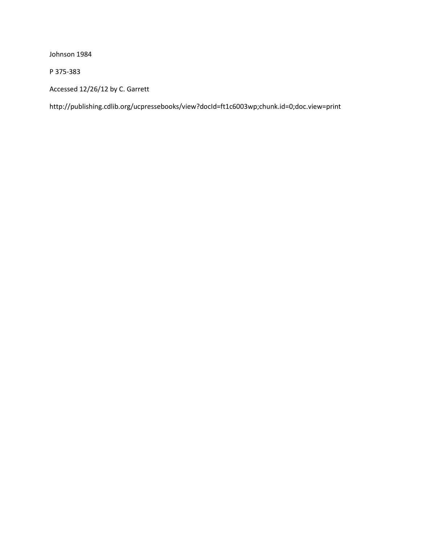Johnson 1984

P 375-383

Accessed 12/26/12 by C. Garrett

http://publishing.cdlib.org/ucpressebooks/view?docId=ft1c6003wp;chunk.id=0;doc.view=print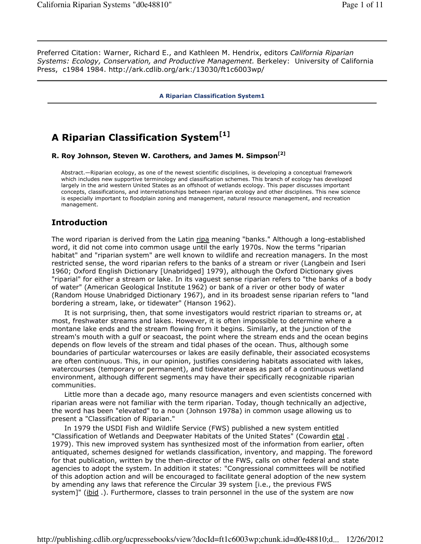Preferred Citation: Warner, Richard E., and Kathleen M. Hendrix, editors *California Riparian Systems: Ecology, Conservation, and Productive Management.* Berkeley: University of California Press, c1984 1984. http://ark.cdlib.org/ark:/13030/ft1c6003wp/

**A Riparian Classification System1**

# **A Riparian Classification System[1]**

**R. Roy Johnson, Steven W. Carothers, and James M. Simpson[2]**

Abstract.—Riparian ecology, as one of the newest scientific disciplines, is developing a conceptual framework which includes new supportive terminology and classification schemes. This branch of ecology has developed largely in the arid western United States as an offshoot of wetlands ecology. This paper discusses important concepts, classifications, and interrelationships between riparian ecology and other disciplines. This new science is especially important to floodplain zoning and management, natural resource management, and recreation management.

# **Introduction**

The word riparian is derived from the Latin ripa meaning "banks." Although a long-established word, it did not come into common usage until the early 1970s. Now the terms "riparian habitat" and "riparian system" are well known to wildlife and recreation managers. In the most restricted sense, the word riparian refers to the banks of a stream or river (Langbein and Iseri 1960; Oxford English Dictionary [Unabridged] 1979), although the Oxford Dictionary gives "riparial" for either a stream or lake. In its vaguest sense riparian refers to "the banks of a body of water" (American Geological Institute 1962) or bank of a river or other body of water (Random House Unabridged Dictionary 1967), and in its broadest sense riparian refers to "land bordering a stream, lake, or tidewater" (Hanson 1962).

It is not surprising, then, that some investigators would restrict riparian to streams or, at most, freshwater streams and lakes. However, it is often impossible to determine where a montane lake ends and the stream flowing from it begins. Similarly, at the junction of the stream's mouth with a gulf or seacoast, the point where the stream ends and the ocean begins depends on flow levels of the stream and tidal phases of the ocean. Thus, although some boundaries of particular watercourses or lakes are easily definable, their associated ecosystems are often continuous. This, in our opinion, justifies considering habitats associated with lakes, watercourses (temporary or permanent), and tidewater areas as part of a continuous wetland environment, although different segments may have their specifically recognizable riparian communities.

Little more than a decade ago, many resource managers and even scientists concerned with riparian areas were not familiar with the term riparian. Today, though technically an adjective, the word has been "elevated" to a noun (Johnson 1978a) in common usage allowing us to present a "Classification of Riparian."

In 1979 the USDI Fish and Wildlife Service (FWS) published a new system entitled "Classification of Wetlands and Deepwater Habitats of the United States" (Cowardin etal. 1979). This new improved system has synthesized most of the information from earlier, often antiquated, schemes designed for wetlands classification, inventory, and mapping. The foreword for that publication, written by the then-director of the FWS, calls on other federal and state agencies to adopt the system. In addition it states: "Congressional committees will be notified of this adoption action and will be encouraged to facilitate general adoption of the new system by amending any laws that reference the Circular 39 system [i.e., the previous FWS system]" (*ibid .)*. Furthermore, classes to train personnel in the use of the system are now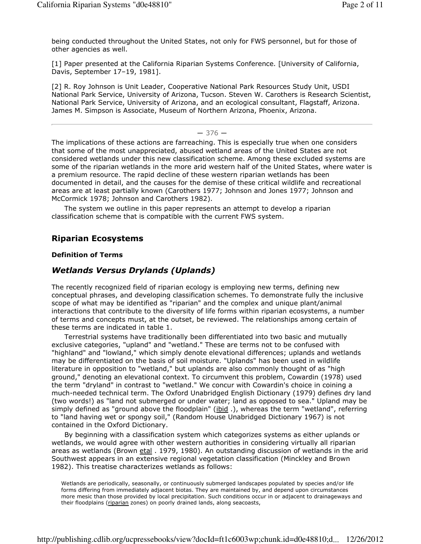being conducted throughout the United States, not only for FWS personnel, but for those of other agencies as well.

[1] Paper presented at the California Riparian Systems Conference. [University of California, Davis, September 17–19, 1981].

[2] R. Roy Johnson is Unit Leader, Cooperative National Park Resources Study Unit, USDI National Park Service, University of Arizona, Tucson. Steven W. Carothers is Research Scientist, National Park Service, University of Arizona, and an ecological consultant, Flagstaff, Arizona. James M. Simpson is Associate, Museum of Northern Arizona, Phoenix, Arizona.

#### $-376-$

The implications of these actions are farreaching. This is especially true when one considers that some of the most unappreciated, abused wetland areas of the United States are not considered wetlands under this new classification scheme. Among these excluded systems are some of the riparian wetlands in the more arid western half of the United States, where water is a premium resource. The rapid decline of these western riparian wetlands has been documented in detail, and the causes for the demise of these critical wildlife and recreational areas are at least partially known (Carothers 1977; Johnson and Jones 1977; Johnson and McCormick 1978; Johnson and Carothers 1982).

The system we outline in this paper represents an attempt to develop a riparian classification scheme that is compatible with the current FWS system.

### **Riparian Ecosystems**

#### **Definition of Terms**

### *Wetlands Versus Drylands (Uplands)*

The recently recognized field of riparian ecology is employing new terms, defining new conceptual phrases, and developing classification schemes. To demonstrate fully the inclusive scope of what may be identified as "riparian" and the complex and unique plant/animal interactions that contribute to the diversity of life forms within riparian ecosystems, a number of terms and concepts must, at the outset, be reviewed. The relationships among certain of these terms are indicated in table 1.

Terrestrial systems have traditionally been differentiated into two basic and mutually exclusive categories, "upland" and "wetland." These are terms not to be confused with "highland" and "lowland," which simply denote elevational differences; uplands and wetlands may be differentiated on the basis of soil moisture. "Uplands" has been used in wildlife literature in opposition to "wetland," but uplands are also commonly thought of as "high ground," denoting an elevational context. To circumvent this problem, Cowardin (1978) used the term "dryland" in contrast to "wetland." We concur with Cowardin's choice in coining a much-needed technical term. The Oxford Unabridged English Dictionary (1979) defines dry land (two words!) as "land not submerged or under water; land as opposed to sea." Upland may be simply defined as "ground above the floodplain" (*ibid .)*, whereas the term "wetland", referring to "land having wet or spongy soil," (Random House Unabridged Dictionary 1967) is not contained in the Oxford Dictionary.

By beginning with a classification system which categorizes systems as either uplands or wetlands, we would agree with other western authorities in considering virtually all riparian areas as wetlands (Brown etal . 1979, 1980). An outstanding discussion of wetlands in the arid Southwest appears in an extensive regional vegetation classification (Minckley and Brown 1982). This treatise characterizes wetlands as follows:

Wetlands are periodically, seasonally, or continuously submerged landscapes populated by species and/or life forms differing from immediately adjacent biotas. They are maintained by, and depend upon circumstances more mesic than those provided by local precipitation. Such conditions occur in or adjacent to drainageways and their floodplains (riparian zones) on poorly drained lands, along seacoasts,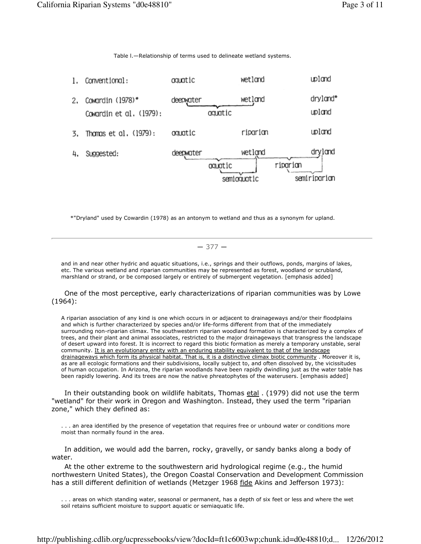Table l.—Relationship of terms used to delineate wetland systems.



\*"Dryland" used by Cowardin (1978) as an antonym to wetland and thus as a synonym for upland.

### $-377-$

and in and near other hydric and aquatic situations, i.e., springs and their outflows, ponds, margins of lakes, etc. The various wetland and riparian communities may be represented as forest, woodland or scrubland, marshland or strand, or be composed largely or entirely of submergent vegetation. [emphasis added]

One of the most perceptive, early characterizations of riparian communities was by Lowe (1964):

A riparian association of any kind is one which occurs in or adjacent to drainageways and/or their floodplains and which is further characterized by species and/or life-forms different from that of the immediately surrounding non-riparian climax. The southwestern riparian woodland formation is characterized by a complex of trees, and their plant and animal associates, restricted to the major drainageways that transgress the landscape of desert upward into forest. It is incorrect to regard this biotic formation as merely a temporary unstable, seral community. It is an evolutionary entity with an enduring stability equivalent to that of the landscape drainageways which form its physical habitat. That is, it is a distinctive climax biotic community . Moreover it is, as are all ecologic formations and their subdivisions, locally subject to, and often dissolved by, the vicissitudes of human occupation. In Arizona, the riparian woodlands have been rapidly dwindling just as the water table has been rapidly lowering. And its trees are now the native phreatophytes of the waterusers. [emphasis added]

In their outstanding book on wildlife habitats, Thomas **etal** . (1979) did not use the term "wetland" for their work in Oregon and Washington. Instead, they used the term "riparian zone," which they defined as:

. . . an area identified by the presence of vegetation that requires free or unbound water or conditions more moist than normally found in the area.

In addition, we would add the barren, rocky, gravelly, or sandy banks along a body of water.

At the other extreme to the southwestern arid hydrological regime (e.g., the humid northwestern United States), the Oregon Coastal Conservation and Development Commission has a still different definition of wetlands (Metzger 1968 fide Akins and Jefferson 1973):

. . . areas on which standing water, seasonal or permanent, has a depth of six feet or less and where the wet soil retains sufficient moisture to support aquatic or semiaquatic life.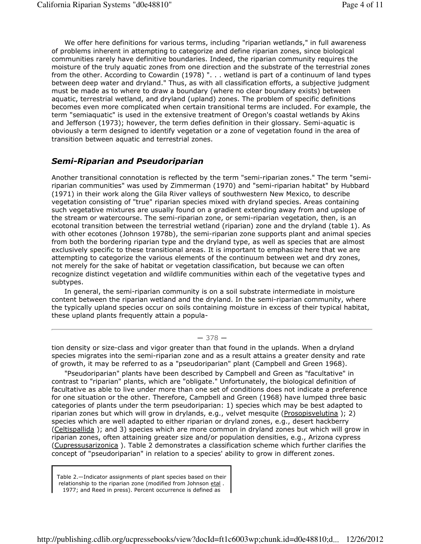We offer here definitions for various terms, including "riparian wetlands," in full awareness of problems inherent in attempting to categorize and define riparian zones, since biological communities rarely have definitive boundaries. Indeed, the riparian community requires the moisture of the truly aquatic zones from one direction and the substrate of the terrestrial zones from the other. According to Cowardin (1978) ". . . wetland is part of a continuum of land types between deep water and dryland." Thus, as with all classification efforts, a subjective judgment must be made as to where to draw a boundary (where no clear boundary exists) between aquatic, terrestrial wetland, and dryland (upland) zones. The problem of specific definitions becomes even more complicated when certain transitional terms are included. For example, the term "semiaquatic" is used in the extensive treatment of Oregon's coastal wetlands by Akins and Jefferson (1973); however, the term defies definition in their glossary. Semi-aquatic is obviously a term designed to identify vegetation or a zone of vegetation found in the area of transition between aquatic and terrestrial zones.

## *Semi-Riparian and Pseudoriparian*

Another transitional connotation is reflected by the term "semi-riparian zones." The term "semiriparian communities" was used by Zimmerman (1970) and "semi-riparian habitat" by Hubbard (1971) in their work along the Gila River valleys of southwestern New Mexico, to describe vegetation consisting of "true" riparian species mixed with dryland species. Areas containing such vegetative mixtures are usually found on a gradient extending away from and upslope of the stream or watercourse. The semi-riparian zone, or semi-riparian vegetation, then, is an ecotonal transition between the terrestrial wetland (riparian) zone and the dryland (table 1). As with other ecotones (Johnson 1978b), the semi-riparian zone supports plant and animal species from both the bordering riparian type and the dryland type, as well as species that are almost exclusively specific to these transitional areas. It is important to emphasize here that we are attempting to categorize the various elements of the continuum between wet and dry zones, not merely for the sake of habitat or vegetation classification, but because we can often recognize distinct vegetation and wildlife communities within each of the vegetative types and subtypes.

In general, the semi-riparian community is on a soil substrate intermediate in moisture content between the riparian wetland and the dryland. In the semi-riparian community, where the typically upland species occur on soils containing moisture in excess of their typical habitat, these upland plants frequently attain a popula-

#### $-378-$

tion density or size-class and vigor greater than that found in the uplands. When a dryland species migrates into the semi-riparian zone and as a result attains a greater density and rate of growth, it may be referred to as a "pseudoriparian" plant (Campbell and Green 1968).

"Pseudoriparian" plants have been described by Campbell and Green as "facultative" in contrast to "riparian" plants, which are "obligate." Unfortunately, the biological definition of facultative as able to live under more than one set of conditions does not indicate a preference for one situation or the other. Therefore, Campbell and Green (1968) have lumped three basic categories of plants under the term pseudoriparian: 1) species which may be best adapted to riparian zones but which will grow in drylands, e.g., velvet mesquite (Prosopisvelutina); 2) species which are well adapted to either riparian or dryland zones, e.g., desert hackberry (Celtispallida); and 3) species which are more common in dryland zones but which will grow in riparian zones, often attaining greater size and/or population densities, e.g., Arizona cypress (Cupressusarizonica ). Table 2 demonstrates a classification scheme which further clarifies the concept of "pseudoriparian" in relation to a species' ability to grow in different zones.

Table 2.—Indicator assignments of plant species based on their relationship to the riparian zone (modified from Johnson etal . 1977; and Reed in press). Percent occurrence is defined as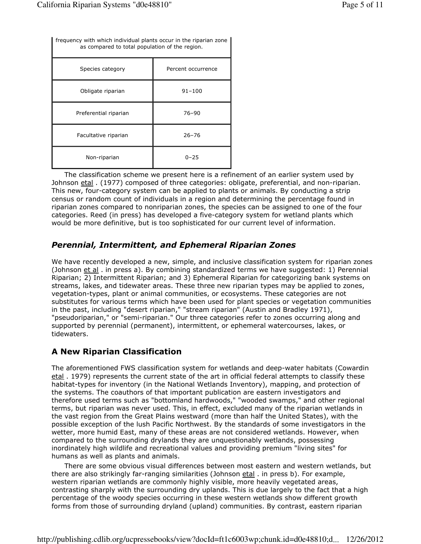| frequency with which individual plants occur in the riparian zone<br>as compared to total population of the region. |                    |
|---------------------------------------------------------------------------------------------------------------------|--------------------|
| Species category                                                                                                    | Percent occurrence |
| Obligate riparian                                                                                                   | $91 - 100$         |
| Preferential riparian                                                                                               | $76 - 90$          |
| Facultative riparian                                                                                                | $26 - 76$          |
| Non-riparian                                                                                                        | $0 - 25$           |

The classification scheme we present here is a refinement of an earlier system used by Johnson etal . (1977) composed of three categories: obligate, preferential, and non-riparian. This new, four-category system can be applied to plants or animals. By conducting a strip census or random count of individuals in a region and determining the percentage found in riparian zones compared to nonriparian zones, the species can be assigned to one of the four categories. Reed (in press) has developed a five-category system for wetland plants which would be more definitive, but is too sophisticated for our current level of information.

# *Perennial, Intermittent, and Ephemeral Riparian Zones*

We have recently developed a new, simple, and inclusive classification system for riparian zones (Johnson et al . in press a). By combining standardized terms we have suggested: 1) Perennial Riparian; 2) Intermittent Riparian; and 3) Ephemeral Riparian for categorizing bank systems on streams, lakes, and tidewater areas. These three new riparian types may be applied to zones, vegetation-types, plant or animal communities, or ecosystems. These categories are not substitutes for various terms which have been used for plant species or vegetation communities in the past, including "desert riparian," "stream riparian" (Austin and Bradley 1971), "pseudoriparian," or "semi-riparian." Our three categories refer to zones occurring along and supported by perennial (permanent), intermittent, or ephemeral watercourses, lakes, or tidewaters.

# **A New Riparian Classification**

The aforementioned FWS classification system for wetlands and deep-water habitats (Cowardin etal . 1979) represents the current state of the art in official federal attempts to classify these habitat-types for inventory (in the National Wetlands Inventory), mapping, and protection of the systems. The coauthors of that important publication are eastern investigators and therefore used terms such as "bottomland hardwoods," "wooded swamps," and other regional terms, but riparian was never used. This, in effect, excluded many of the riparian wetlands in the vast region from the Great Plains westward (more than half the United States), with the possible exception of the lush Pacific Northwest. By the standards of some investigators in the wetter, more humid East, many of these areas are not considered wetlands. However, when compared to the surrounding drylands they are unquestionably wetlands, possessing inordinately high wildlife and recreational values and providing premium "living sites" for humans as well as plants and animals.

There are some obvious visual differences between most eastern and western wetlands, but there are also strikingly far-ranging similarities (Johnson etal . in press b). For example, western riparian wetlands are commonly highly visible, more heavily vegetated areas, contrasting sharply with the surrounding dry uplands. This is due largely to the fact that a high percentage of the woody species occurring in these western wetlands show different growth forms from those of surrounding dryland (upland) communities. By contrast, eastern riparian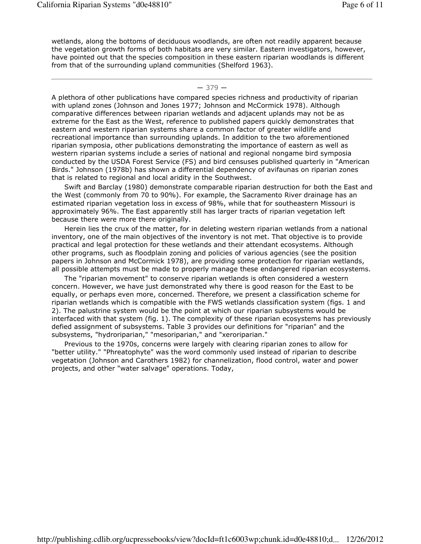wetlands, along the bottoms of deciduous woodlands, are often not readily apparent because the vegetation growth forms of both habitats are very similar. Eastern investigators, however, have pointed out that the species composition in these eastern riparian woodlands is different from that of the surrounding upland communities (Shelford 1963).

#### $-379-$

A plethora of other publications have compared species richness and productivity of riparian with upland zones (Johnson and Jones 1977; Johnson and McCormick 1978). Although comparative differences between riparian wetlands and adjacent uplands may not be as extreme for the East as the West, reference to published papers quickly demonstrates that eastern and western riparian systems share a common factor of greater wildlife and recreational importance than surrounding uplands. In addition to the two aforementioned riparian symposia, other publications demonstrating the importance of eastern as well as western riparian systems include a series of national and regional nongame bird symposia conducted by the USDA Forest Service (FS) and bird censuses published quarterly in "American Birds." Johnson (1978b) has shown a differential dependency of avifaunas on riparian zones that is related to regional and local aridity in the Southwest.

Swift and Barclay (1980) demonstrate comparable riparian destruction for both the East and the West (commonly from 70 to 90%). For example, the Sacramento River drainage has an estimated riparian vegetation loss in excess of 98%, while that for southeastern Missouri is approximately 96%. The East apparently still has larger tracts of riparian vegetation left because there were more there originally.

Herein lies the crux of the matter, for in deleting western riparian wetlands from a national inventory, one of the main objectives of the inventory is not met. That objective is to provide practical and legal protection for these wetlands and their attendant ecosystems. Although other programs, such as floodplain zoning and policies of various agencies (see the position papers in Johnson and McCormick 1978), are providing some protection for riparian wetlands, all possible attempts must be made to properly manage these endangered riparian ecosystems.

The "riparian movement" to conserve riparian wetlands is often considered a western concern. However, we have just demonstrated why there is good reason for the East to be equally, or perhaps even more, concerned. Therefore, we present a classification scheme for riparian wetlands which is compatible with the FWS wetlands classification system (figs. 1 and 2). The palustrine system would be the point at which our riparian subsystems would be interfaced with that system (fig. 1). The complexity of these riparian ecosystems has previously defied assignment of subsystems. Table 3 provides our definitions for "riparian" and the subsystems, "hydroriparian," "mesoriparian," and "xeroriparian."

Previous to the 1970s, concerns were largely with clearing riparian zones to allow for "better utility." "Phreatophyte" was the word commonly used instead of riparian to describe vegetation (Johnson and Carothers 1982) for channelization, flood control, water and power projects, and other "water salvage" operations. Today,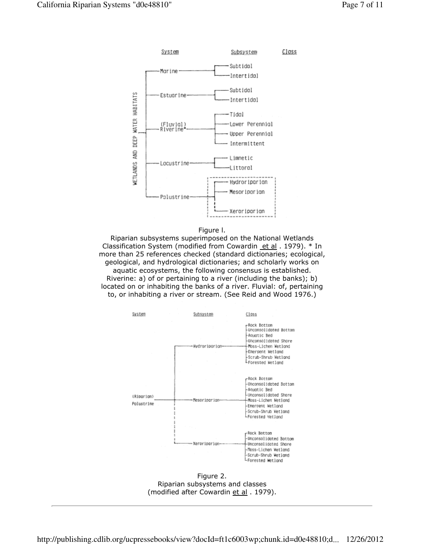



Riparian subsystems superimposed on the National Wetlands Classification System (modified from Cowardin et al. 1979). \* In more than 25 references checked (standard dictionaries; ecological, geological, and hydrological dictionaries; and scholarly works on aquatic ecosystems, the following consensus is established. Riverine: a) of or pertaining to a river (including the banks); b) located on or inhabiting the banks of a river. Fluvial: of, pertaining to, or inhabiting a river or stream. (See Reid and Wood 1976.)



Figure 2. Riparian subsystems and classes (modified after Cowardin et al. 1979).

http://publishing.cdlib.org/ucpressebooks/view?docId=ft1c6003wp;chunk.id=d0e48810;d... 12/26/2012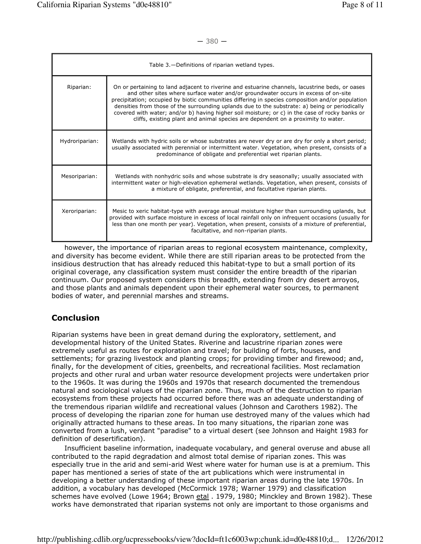$-380 -$ 

| Table 3. - Definitions of riparian wetland types. |                                                                                                                                                                                                                                                                                                                                                                                                                                                                                                                                                                                   |
|---------------------------------------------------|-----------------------------------------------------------------------------------------------------------------------------------------------------------------------------------------------------------------------------------------------------------------------------------------------------------------------------------------------------------------------------------------------------------------------------------------------------------------------------------------------------------------------------------------------------------------------------------|
| Riparian:                                         | On or pertaining to land adjacent to riverine and estuarine channels, lacustrine beds, or oases<br>and other sites where surface water and/or groundwater occurs in excess of on-site<br>precipitation; occupied by biotic communities differing in species composition and/or population<br>densities from those of the surrounding uplands due to the substrate: a) being or periodically<br>covered with water; and/or b) having higher soil moisture; or c) in the case of rocky banks or<br>cliffs, existing plant and animal species are dependent on a proximity to water. |
| Hydroriparian:                                    | Wetlands with hydric soils or whose substrates are never dry or are dry for only a short period;<br>usually associated with perennial or intermittent water. Vegetation, when present, consists of a<br>predominance of obligate and preferential wet riparian plants.                                                                                                                                                                                                                                                                                                            |
| Mesoriparian:                                     | Wetlands with nonhydric soils and whose substrate is dry seasonally; usually associated with<br>intermittent water or high-elevation ephemeral wetlands. Vegetation, when present, consists of<br>a mixture of obligate, preferential, and facultative riparian plants.                                                                                                                                                                                                                                                                                                           |
| Xeroriparian:                                     | Mesic to xeric habitat-type with average annual moisture higher than surrounding uplands, but<br>provided with surface moisture in excess of local rainfall only on infrequent occasions (usually for<br>less than one month per year). Vegetation, when present, consists of a mixture of preferential,<br>facultative, and non-riparian plants.                                                                                                                                                                                                                                 |

however, the importance of riparian areas to regional ecosystem maintenance, complexity, and diversity has become evident. While there are still riparian areas to be protected from the insidious destruction that has already reduced this habitat-type to but a small portion of its original coverage, any classification system must consider the entire breadth of the riparian continuum. Our proposed system considers this breadth, extending from dry desert arroyos, and those plants and animals dependent upon their ephemeral water sources, to permanent bodies of water, and perennial marshes and streams.

# **Conclusion**

Riparian systems have been in great demand during the exploratory, settlement, and developmental history of the United States. Riverine and lacustrine riparian zones were extremely useful as routes for exploration and travel; for building of forts, houses, and settlements; for grazing livestock and planting crops; for providing timber and firewood; and, finally, for the development of cities, greenbelts, and recreational facilities. Most reclamation projects and other rural and urban water resource development projects were undertaken prior to the 1960s. It was during the 1960s and 1970s that research documented the tremendous natural and sociological values of the riparian zone. Thus, much of the destruction to riparian ecosystems from these projects had occurred before there was an adequate understanding of the tremendous riparian wildlife and recreational values (Johnson and Carothers 1982). The process of developing the riparian zone for human use destroyed many of the values which had originally attracted humans to these areas. In too many situations, the riparian zone was converted from a lush, verdant "paradise" to a virtual desert (see Johnson and Haight 1983 for definition of desertification).

Insufficient baseline information, inadequate vocabulary, and general overuse and abuse all contributed to the rapid degradation and almost total demise of riparian zones. This was especially true in the arid and semi-arid West where water for human use is at a premium. This paper has mentioned a series of state of the art publications which were instrumental in developing a better understanding of these important riparian areas during the late 1970s. In addition, a vocabulary has developed (McCormick 1978; Warner 1979) and classification schemes have evolved (Lowe 1964; Brown etal . 1979, 1980; Minckley and Brown 1982). These works have demonstrated that riparian systems not only are important to those organisms and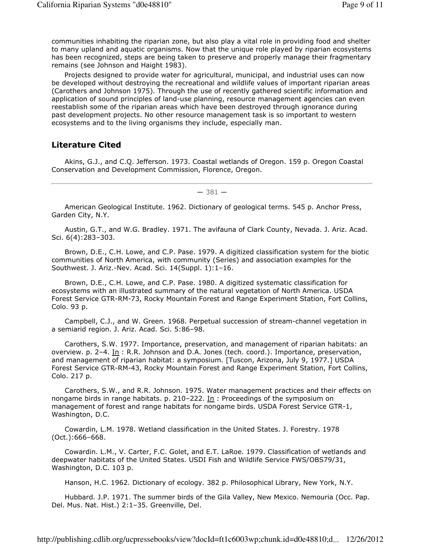communities inhabiting the riparian zone, but also play a vital role in providing food and shelter to many upland and aquatic organisms. Now that the unique role played by riparian ecosystems has been recognized, steps are being taken to preserve and properly manage their fragmentary remains (see Johnson and Haight 1983).

Projects designed to provide water for agricultural, municipal, and industrial uses can now be developed without destroying the recreational and wildlife values of important riparian areas (Carothers and Johnson 1975). Through the use of recently gathered scientific information and application of sound principles of land-use planning, resource management agencies can even reestablish some of the riparian areas which have been destroyed through ignorance during past development projects. No other resource management task is so important to western ecosystems and to the living organisms they include, especially man.

### **Literature Cited**

Akins, G.J., and C.Q. Jefferson. 1973. Coastal wetlands of Oregon. 159 p. Oregon Coastal Conservation and Development Commission, Florence, Oregon.

 $-381-$ 

American Geological Institute. 1962. Dictionary of geological terms. 545 p. Anchor Press, Garden City, N.Y.

Austin, G.T., and W.G. Bradley. 1971. The avifauna of Clark County, Nevada. J. Ariz. Acad. Sci. 6(4):283–303.

Brown, D.E., C.H. Lowe, and C.P. Pase. 1979. A digitized classification system for the biotic communities of North America, with community (Series) and association examples for the Southwest. J. Ariz.-Nev. Acad. Sci. 14(Suppl. 1):1–16.

Brown, D.E., C.H. Lowe, and C.P. Pase. 1980. A digitized systematic classification for ecosystems with an illustrated summary of the natural vegetation of North America. USDA Forest Service GTR-RM-73, Rocky Mountain Forest and Range Experiment Station, Fort Collins, Colo. 93 p.

Campbell, C.J., and W. Green. 1968. Perpetual succession of stream-channel vegetation in a semiarid region. J. Ariz. Acad. Sci. 5:86–98.

Carothers, S.W. 1977. Importance, preservation, and management of riparian habitats: an overview. p. 2–4. In : R.R. Johnson and D.A. Jones (tech. coord.). Importance, preservation, and management of riparian habitat: a symposium. [Tuscon, Arizona, July 9, 1977.] USDA Forest Service GTR-RM-43, Rocky Mountain Forest and Range Experiment Station, Fort Collins, Colo. 217 p.

Carothers, S.W., and R.R. Johnson. 1975. Water management practices and their effects on nongame birds in range habitats. p. 210–222. In : Proceedings of the symposium on management of forest and range habitats for nongame birds. USDA Forest Service GTR-1, Washington, D.C.

Cowardin, L.M. 1978. Wetland classification in the United States. J. Forestry. 1978 (Oct.):666–668.

Cowardin. L.M., V. Carter, F.C. Golet, and E.T. LaRoe. 1979. Classification of wetlands and deepwater habitats of the United States. USDI Fish and Wildlife Service FWS/OBS79/31, Washington, D.C. 103 p.

Hanson, H.C. 1962. Dictionary of ecology. 382 p. Philosophical Library, New York, N.Y.

Hubbard. J.P. 1971. The summer birds of the Gila Valley, New Mexico. Nemouria (Occ. Pap. Del. Mus. Nat. Hist.) 2:1–35. Greenville, Del.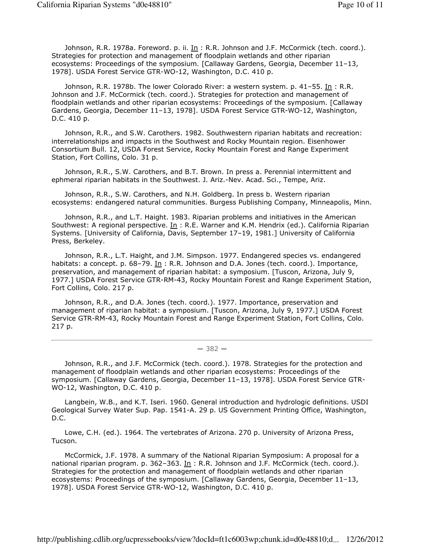Johnson, R.R. 1978a. Foreword. p. ii. In: R.R. Johnson and J.F. McCormick (tech. coord.). Strategies for protection and management of floodplain wetlands and other riparian ecosystems: Proceedings of the symposium. [Callaway Gardens, Georgia, December 11–13, 1978]. USDA Forest Service GTR-WO-12, Washington, D.C. 410 p.

Johnson, R.R. 1978b. The lower Colorado River: a western system. p. 41–55. In: R.R. Johnson and J.F. McCormick (tech. coord.). Strategies for protection and management of floodplain wetlands and other riparian ecosystems: Proceedings of the symposium. [Callaway Gardens, Georgia, December 11–13, 1978]. USDA Forest Service GTR-WO-12, Washington, D.C. 410 p.

Johnson, R.R., and S.W. Carothers. 1982. Southwestern riparian habitats and recreation: interrelationships and impacts in the Southwest and Rocky Mountain region. Eisenhower Consortium Bull. 12, USDA Forest Service, Rocky Mountain Forest and Range Experiment Station, Fort Collins, Colo. 31 p.

Johnson, R.R., S.W. Carothers, and B.T. Brown. In press a. Perennial intermittent and ephmeral riparian habitats in the Southwest. J. Ariz.-Nev. Acad. Sci., Tempe, Ariz.

Johnson, R.R., S.W. Carothers, and N.H. Goldberg. In press b. Western riparian ecosystems: endangered natural communities. Burgess Publishing Company, Minneapolis, Minn.

Johnson, R.R., and L.T. Haight. 1983. Riparian problems and initiatives in the American Southwest: A regional perspective. In : R.E. Warner and K.M. Hendrix (ed.). California Riparian Systems. [University of California, Davis, September 17–19, 1981.] University of California Press, Berkeley.

Johnson, R.R., L.T. Haight, and J.M. Simpson. 1977. Endangered species vs. endangered habitats: a concept. p. 68-79. In: R.R. Johnson and D.A. Jones (tech. coord.). Importance, preservation, and management of riparian habitat: a symposium. [Tuscon, Arizona, July 9, 1977.] USDA Forest Service GTR-RM-43, Rocky Mountain Forest and Range Experiment Station, Fort Collins, Colo. 217 p.

Johnson, R.R., and D.A. Jones (tech. coord.). 1977. Importance, preservation and management of riparian habitat: a symposium. [Tuscon, Arizona, July 9, 1977.] USDA Forest Service GTR-RM-43, Rocky Mountain Forest and Range Experiment Station, Fort Collins, Colo. 217 p.

#### ― 382 ―

Johnson, R.R., and J.F. McCormick (tech. coord.). 1978. Strategies for the protection and management of floodplain wetlands and other riparian ecosystems: Proceedings of the symposium. [Callaway Gardens, Georgia, December 11–13, 1978]. USDA Forest Service GTR-WO-12, Washington, D.C. 410 p.

Langbein, W.B., and K.T. Iseri. 1960. General introduction and hydrologic definitions. USDI Geological Survey Water Sup. Pap. 1541-A. 29 p. US Government Printing Office, Washington, D.C.

Lowe, C.H. (ed.). 1964. The vertebrates of Arizona. 270 p. University of Arizona Press, Tucson.

McCormick, J.F. 1978. A summary of the National Riparian Symposium: A proposal for a national riparian program. p. 362-363. In: R.R. Johnson and J.F. McCormick (tech. coord.). Strategies for the protection and management of floodplain wetlands and other riparian ecosystems: Proceedings of the symposium. [Callaway Gardens, Georgia, December 11–13, 1978]. USDA Forest Service GTR-WO-12, Washington, D.C. 410 p.